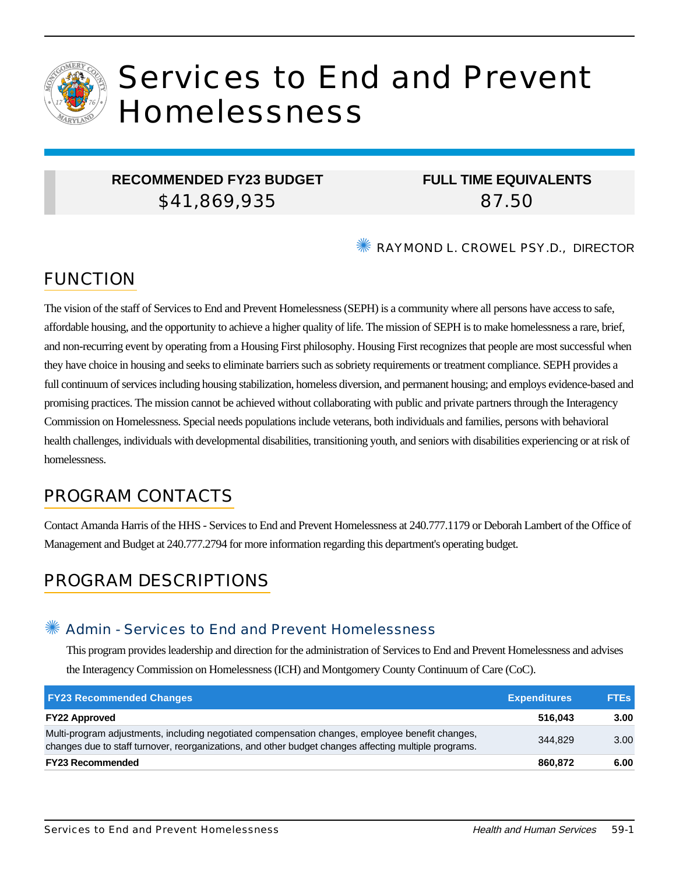

# Services to End and Prevent Homelessness

## **RECOMMENDED FY23 BUDGET** \$41,869,935

# **FULL TIME EQUIVALENTS** 87.50

✺ RAYMOND L. CROWEL PSY.D., DIRECTOR

# FUNCTION

The vision of the staff of Services to End and Prevent Homelessness (SEPH) is a community where all persons have access to safe, affordable housing, and the opportunity to achieve a higher quality of life. The mission of SEPH is to make homelessness a rare, brief, and non-recurring event by operating from a Housing First philosophy. Housing First recognizes that people are most successful when they have choice in housing and seeks to eliminate barriers such as sobriety requirements or treatment compliance. SEPH provides a full continuum of services including housing stabilization, homeless diversion, and permanent housing; and employs evidence-based and promising practices. The mission cannot be achieved without collaborating with public and private partners through the Interagency Commission on Homelessness. Special needs populations include veterans, both individuals and families, persons with behavioral health challenges, individuals with developmental disabilities, transitioning youth, and seniors with disabilities experiencing or at risk of homelessness.

# PROGRAM CONTACTS

Contact Amanda Harris of the HHS - Services to End and Prevent Homelessness at 240.777.1179 or Deborah Lambert of the Office of Management and Budget at 240.777.2794 for more information regarding this department's operating budget.

# PROGRAM DESCRIPTIONS

#### Admin - Services to End and Prevent Homelessness

This program provides leadership and direction for the administration of Services to End and Prevent Homelessness and advises the Interagency Commission on Homelessness (ICH) and Montgomery County Continuum of Care (CoC).

| <b>FY23 Recommended Changes</b>                                                                                                                                                                          | <b>Expenditures</b> | <b>FTEs</b> |
|----------------------------------------------------------------------------------------------------------------------------------------------------------------------------------------------------------|---------------------|-------------|
| <b>FY22 Approved</b>                                                                                                                                                                                     | 516.043             | 3.00        |
| Multi-program adjustments, including negotiated compensation changes, employee benefit changes,<br>changes due to staff turnover, reorganizations, and other budget changes affecting multiple programs. | 344.829             | 3.00        |
| <b>FY23 Recommended</b>                                                                                                                                                                                  | 860.872             | 6.00        |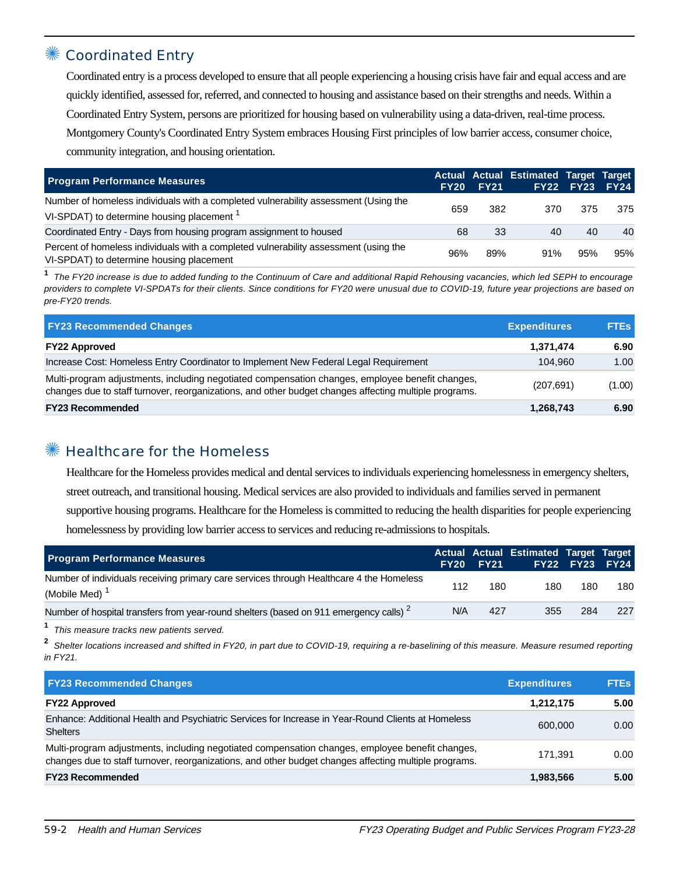## Coordinated Entry

Coordinated entry is a process developed to ensure that all people experiencing a housing crisis have fair and equal access and are quickly identified, assessed for, referred, and connected to housing and assistance based on their strengths and needs. Within a Coordinated Entry System, persons are prioritized for housing based on vulnerability using a data-driven, real-time process. Montgomery County's Coordinated Entry System embraces Housing First principles of low barrier access, consumer choice, community integration, and housing orientation.

| <b>Program Performance Measures</b>                                                                                                          | <b>FY20</b> | <b>FY21</b> | Actual Actual Estimated Target Target | FY22 FY23 FY24 |     |
|----------------------------------------------------------------------------------------------------------------------------------------------|-------------|-------------|---------------------------------------|----------------|-----|
| Number of homeless individuals with a completed vulnerability assessment (Using the<br>VI-SPDAT) to determine housing placement <sup>1</sup> | 659         | 382         | 370                                   | 375            | 375 |
| Coordinated Entry - Days from housing program assignment to housed                                                                           | 68          | 33          | 40                                    | 40             | 40  |
| Percent of homeless individuals with a completed vulnerability assessment (using the<br>VI-SPDAT) to determine housing placement             | 96%         | 89%         | 91%                                   | 95%            | 95% |

**1** The FY20 increase is due to added funding to the Continuum of Care and additional Rapid Rehousing vacancies, which led SEPH to encourage providers to complete VI-SPDATs for their clients. Since conditions for FY20 were unusual due to COVID-19, future year projections are based on pre-FY20 trends.

| <b>FY23 Recommended Changes</b>                                                                                                                                                                          | <b>Expenditures</b> | <b>FTEs</b> |
|----------------------------------------------------------------------------------------------------------------------------------------------------------------------------------------------------------|---------------------|-------------|
| <b>FY22 Approved</b>                                                                                                                                                                                     | 1,371,474           | 6.90        |
| Increase Cost: Homeless Entry Coordinator to Implement New Federal Legal Requirement                                                                                                                     | 104.960             | 1.00        |
| Multi-program adjustments, including negotiated compensation changes, employee benefit changes,<br>changes due to staff turnover, reorganizations, and other budget changes affecting multiple programs. | (207, 691)          | (1.00)      |
| <b>FY23 Recommended</b>                                                                                                                                                                                  | 1,268,743           | 6.90        |

# ✺ Healthcare for the Homeless

Healthcare for the Homeless provides medical and dental services to individuals experiencing homelessness in emergency shelters, street outreach, and transitional housing. Medical services are also provided to individuals and families served in permanent supportive housing programs. Healthcare for the Homeless is committed to reducing the health disparities for people experiencing homelessness by providing low barrier access to services and reducing re-admissions to hospitals.

| <b>Program Performance Measures</b>                                                                                  |     | <b>FY20 FY21</b> | Actual Actual Estimated Target Target |     | FY22 FY23 FY24 |
|----------------------------------------------------------------------------------------------------------------------|-----|------------------|---------------------------------------|-----|----------------|
| Number of individuals receiving primary care services through Healthcare 4 the Homeless<br>(Mobile Med) <sup>1</sup> | 112 | 180              | 180                                   | 180 | 180            |
| Number of hospital transfers from year-round shelters (based on 911 emergency calls) <sup>2</sup>                    | N/A | 427              | 355                                   | 284 | 227            |
|                                                                                                                      |     |                  |                                       |     |                |

**1** This measure tracks new patients served.

**2** Shelter locations increased and shifted in FY20, in part due to COVID-19, requiring a re-baselining of this measure. Measure resumed reporting in FY21.

| <b>FY23 Recommended Changes</b>                                                                                                                                                                          | <b>Expenditures</b> | <b>FTEs</b> |
|----------------------------------------------------------------------------------------------------------------------------------------------------------------------------------------------------------|---------------------|-------------|
| <b>FY22 Approved</b>                                                                                                                                                                                     | 1,212,175           | 5.00        |
| Enhance: Additional Health and Psychiatric Services for Increase in Year-Round Clients at Homeless<br><b>Shelters</b>                                                                                    | 600,000             | 0.00        |
| Multi-program adjustments, including negotiated compensation changes, employee benefit changes,<br>changes due to staff turnover, reorganizations, and other budget changes affecting multiple programs. | 171.391             | 0.00        |
| <b>FY23 Recommended</b>                                                                                                                                                                                  | 1,983,566           | 5.00        |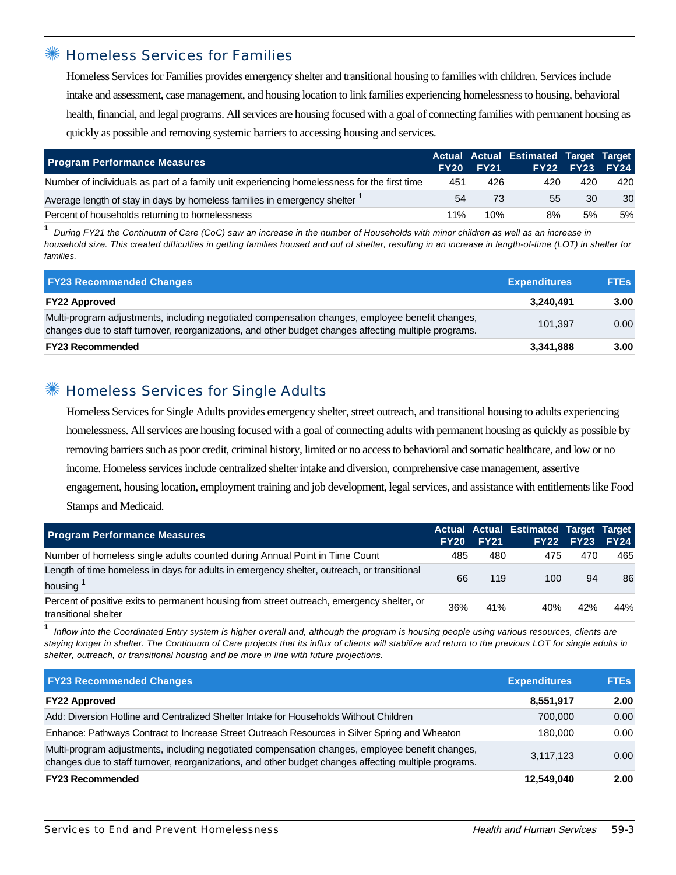#### ✺ Homeless Services for Families

Homeless Services for Families provides emergency shelter and transitional housing to families with children. Services include intake and assessment, case management, and housing location to link families experiencing homelessness to housing, behavioral health, financial, and legal programs. All services are housing focused with a goal of connecting families with permanent housing as quickly as possible and removing systemic barriers to accessing housing and services.

| <b>Program Performance Measures</b>                                                         | FY20 | <b>FY21</b> | Actual Actual Estimated Target Target | FY22 FY23 | FY24 |
|---------------------------------------------------------------------------------------------|------|-------------|---------------------------------------|-----------|------|
| Number of individuals as part of a family unit experiencing homelessness for the first time | 451  | 426         | 420                                   | 420       | 420  |
| Average length of stay in days by homeless families in emergency shelter <sup>1</sup>       | 54   | 73          | 55                                    | 30        | 30   |
| Percent of households returning to homelessness                                             | 11%  | 10%         | 8%                                    | 5%        | 5%   |

**1** During FY21 the Continuum of Care (CoC) saw an increase in the number of Households with minor children as well as an increase in household size. This created difficulties in getting families housed and out of shelter, resulting in an increase in length-of-time (LOT) in shelter for families.

| <b>FY23 Recommended Changes</b>                                                                                                                                                                          | <b>Expenditures</b> | <b>FTEs</b> |
|----------------------------------------------------------------------------------------------------------------------------------------------------------------------------------------------------------|---------------------|-------------|
| <b>FY22 Approved</b>                                                                                                                                                                                     | 3.240.491           | 3.00        |
| Multi-program adjustments, including negotiated compensation changes, employee benefit changes,<br>changes due to staff turnover, reorganizations, and other budget changes affecting multiple programs. | 101.397             | 0.00        |
| <b>FY23 Recommended</b>                                                                                                                                                                                  | 3,341,888           | 3.00        |

## Homeless Services for Single Adults

Homeless Services for Single Adults provides emergency shelter, street outreach, and transitional housing to adults experiencing homelessness. All services are housing focused with a goal of connecting adults with permanent housing as quickly as possible by removing barriers such as poor credit, criminal history, limited or no access to behavioral and somatic healthcare, and low or no income. Homeless services include centralized shelter intake and diversion, comprehensive case management, assertive engagement, housing location, employment training and job development, legal services, and assistance with entitlements like Food Stamps and Medicaid.

| <b>Program Performance Measures</b>                                                                                | <b>FY20</b> | <b>FY21</b> | Actual Actual Estimated Target Target | <b>FY22 FY23</b> | <b>FY24</b> |
|--------------------------------------------------------------------------------------------------------------------|-------------|-------------|---------------------------------------|------------------|-------------|
| Number of homeless single adults counted during Annual Point in Time Count                                         | 485         | 480         | 475                                   | 470              | 465         |
| Length of time homeless in days for adults in emergency shelter, outreach, or transitional<br>housing              | 66          | 119         | 100                                   | 94               | 86          |
| Percent of positive exits to permanent housing from street outreach, emergency shelter, or<br>transitional shelter | 36%         | 41%         | 40%                                   | 42%              | 44%         |

**1** Inflow into the Coordinated Entry system is higher overall and, although the program is housing people using various resources, clients are staying longer in shelter. The Continuum of Care projects that its influx of clients will stabilize and return to the previous LOT for single adults in shelter, outreach, or transitional housing and be more in line with future projections.

| <b>FY23 Recommended Changes</b>                                                                                                                                                                          | <b>Expenditures</b> | <b>FTEs</b> |
|----------------------------------------------------------------------------------------------------------------------------------------------------------------------------------------------------------|---------------------|-------------|
| <b>FY22 Approved</b>                                                                                                                                                                                     | 8,551,917           | 2.00        |
| Add: Diversion Hotline and Centralized Shelter Intake for Households Without Children                                                                                                                    | 700.000             | 0.00        |
| Enhance: Pathways Contract to Increase Street Outreach Resources in Silver Spring and Wheaton                                                                                                            | 180.000             | 0.00        |
| Multi-program adjustments, including negotiated compensation changes, employee benefit changes,<br>changes due to staff turnover, reorganizations, and other budget changes affecting multiple programs. | 3.117.123           | 0.00        |
| <b>FY23 Recommended</b>                                                                                                                                                                                  | 12,549,040          | 2.00        |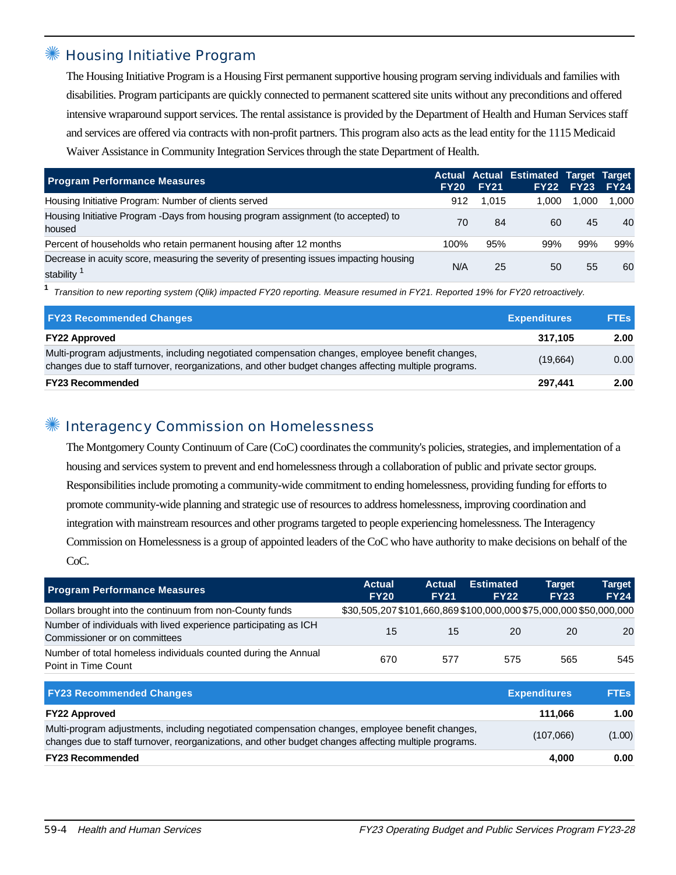#### **Housing Initiative Program**

The Housing Initiative Program is a Housing First permanent supportive housing program serving individuals and families with disabilities. Program participants are quickly connected to permanent scattered site units without any preconditions and offered intensive wraparound support services. The rental assistance is provided by the Department of Health and Human Services staff and services are offered via contracts with non-profit partners. This program also acts as the lead entity for the 1115 Medicaid Waiver Assistance in Community Integration Services through the state Department of Health.

| <b>Program Performance Measures</b>                                                                  | <b>FY20</b> | <b>FY21</b> | Actual Actual Estimated Target Target | <b>FY22 FY23</b> | <b>FY24</b> |
|------------------------------------------------------------------------------------------------------|-------------|-------------|---------------------------------------|------------------|-------------|
| Housing Initiative Program: Number of clients served                                                 | 912         | 1.015       | 1,000                                 | 1.000            | 1.000       |
| Housing Initiative Program -Days from housing program assignment (to accepted) to<br>housed          | 70          | 84          | 60                                    | 45               | 40          |
| Percent of households who retain permanent housing after 12 months                                   | 100%        | 95%         | 99%                                   | 99%              | 99%         |
| Decrease in acuity score, measuring the severity of presenting issues impacting housing<br>stability | N/A         | 25          | 50                                    | 55               | 60          |

**1** Transition to new reporting system (Qlik) impacted FY20 reporting. Measure resumed in FY21. Reported 19% for FY20 retroactively.

| <b>FY23 Recommended Changes</b>                                                                                                                                                                          | <b>Expenditures</b> | <b>FTEs</b> |
|----------------------------------------------------------------------------------------------------------------------------------------------------------------------------------------------------------|---------------------|-------------|
| <b>FY22 Approved</b>                                                                                                                                                                                     | 317.105             | 2.00        |
| Multi-program adjustments, including negotiated compensation changes, employee benefit changes,<br>changes due to staff turnover, reorganizations, and other budget changes affecting multiple programs. | (19,664)            | 0.00        |
| <b>FY23 Recommended</b>                                                                                                                                                                                  | 297.441             | 2.00        |

#### Interagency Commission on Homelessness

The Montgomery County Continuum of Care (CoC) coordinates the community's policies, strategies, and implementation of a housing and services system to prevent and end homelessness through a collaboration of public and private sector groups. Responsibilities include promoting a community-wide commitment to ending homelessness, providing funding for efforts to promote community-wide planning and strategic use of resources to address homelessness, improving coordination and integration with mainstream resources and other programs targeted to people experiencing homelessness. The Interagency Commission on Homelessness is a group of appointed leaders of the CoC who have authority to make decisions on behalf of the CoC.

| <b>Program Performance Measures</b>                                                                                                                                                                      | <b>Actual</b><br><b>FY20</b>                                       | <b>Actual</b><br><b>FY21</b> | <b>Estimated</b><br><b>FY22</b> | <b>Target</b><br><b>FY23</b> | <b>Target</b><br><b>FY24</b> |
|----------------------------------------------------------------------------------------------------------------------------------------------------------------------------------------------------------|--------------------------------------------------------------------|------------------------------|---------------------------------|------------------------------|------------------------------|
| Dollars brought into the continuum from non-County funds                                                                                                                                                 | \$30,505,207 \$101,660,869 \$100,000,000 \$75,000,000 \$50,000,000 |                              |                                 |                              |                              |
| Number of individuals with lived experience participating as ICH<br>Commissioner or on committees                                                                                                        | 15                                                                 | 15                           | 20                              | 20                           | 20                           |
| Number of total homeless individuals counted during the Annual<br>Point in Time Count                                                                                                                    | 670                                                                | 577                          | 575                             | 565                          | 545                          |
| <b>FY23 Recommended Changes</b>                                                                                                                                                                          |                                                                    |                              |                                 | <b>Expenditures</b>          | <b>FTEs</b>                  |
| <b>FY22 Approved</b>                                                                                                                                                                                     |                                                                    |                              |                                 | 111,066                      | 1.00                         |
| Multi-program adjustments, including negotiated compensation changes, employee benefit changes,<br>changes due to staff turnover, reorganizations, and other budget changes affecting multiple programs. |                                                                    |                              |                                 | (107,066)                    | (1.00)                       |
| <b>FY23 Recommended</b>                                                                                                                                                                                  |                                                                    |                              |                                 | 4.000                        | 0.00                         |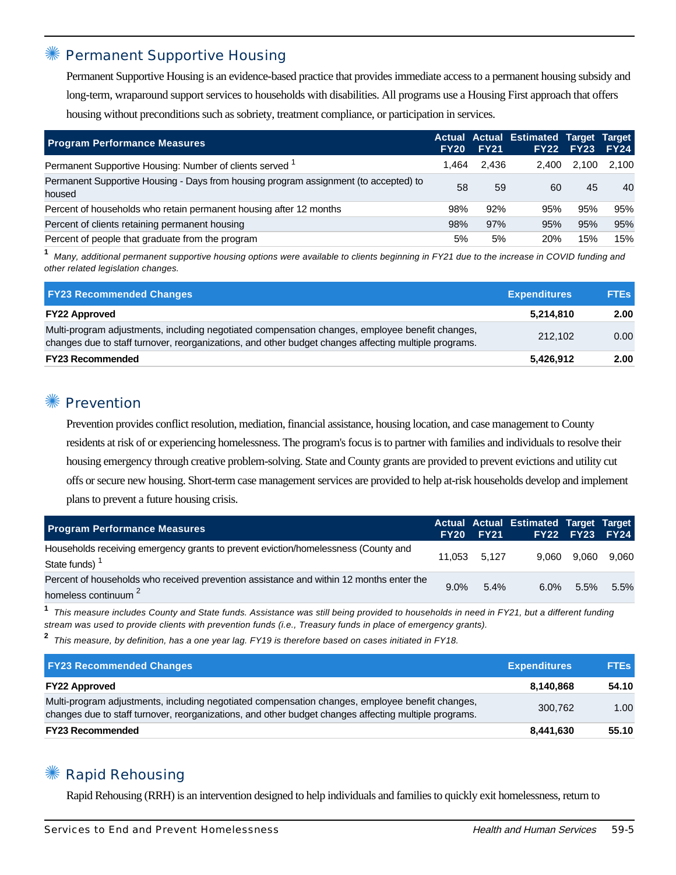#### Permanent Supportive Housing

Permanent Supportive Housing is an evidence-based practice that provides immediate access to a permanent housing subsidy and long-term, wraparound support services to households with disabilities. All programs use a Housing First approach that offers housing without preconditions such as sobriety, treatment compliance, or participation in services.

| <b>Program Performance Measures</b>                                                            | <b>FY20</b> | <b>FY21</b> | Actual Actual Estimated Target Target | <b>FY22 FY23</b> | <b>FY24</b> |
|------------------------------------------------------------------------------------------------|-------------|-------------|---------------------------------------|------------------|-------------|
| Permanent Supportive Housing: Number of clients served <sup>1</sup>                            | 1.464       | 2.436       | 2.400                                 | 2.100            | 2.100       |
| Permanent Supportive Housing - Days from housing program assignment (to accepted) to<br>housed | 58          | 59          | 60                                    | 45               | 40          |
| Percent of households who retain permanent housing after 12 months                             | 98%         | 92%         | 95%                                   | 95%              | 95%         |
| Percent of clients retaining permanent housing                                                 | 98%         | 97%         | 95%                                   | 95%              | 95%         |
| Percent of people that graduate from the program                                               | 5%          | 5%          | <b>20%</b>                            | 15%              | 15%         |

**1** Many, additional permanent supportive housing options were available to clients beginning in FY21 due to the increase in COVID funding and other related legislation changes.

| <b>FY23 Recommended Changes</b>                                                                                                                                                                          | <b>Expenditures</b> | <b>FTEs</b> |
|----------------------------------------------------------------------------------------------------------------------------------------------------------------------------------------------------------|---------------------|-------------|
| <b>FY22 Approved</b>                                                                                                                                                                                     | 5,214,810           | 2.00        |
| Multi-program adjustments, including negotiated compensation changes, employee benefit changes,<br>changes due to staff turnover, reorganizations, and other budget changes affecting multiple programs. | 212.102             | 0.00        |
| <b>FY23 Recommended</b>                                                                                                                                                                                  | 5,426,912           | 2.00        |

#### **Prevention**

Prevention provides conflict resolution, mediation, financial assistance, housing location, and case management to County residents at risk of or experiencing homelessness. The program's focus is to partner with families and individuals to resolve their housing emergency through creative problem-solving. State and County grants are provided to prevent evictions and utility cut offs or secure new housing. Short-term case management services are provided to help at-risk households develop and implement plans to prevent a future housing crisis.

| <b>Program Performance Measures</b>                                                                                        |      | <b>FY20 FY21</b> | Actual Actual Estimated Target Target |         | <b>FY22 FY23 FY24</b> |
|----------------------------------------------------------------------------------------------------------------------------|------|------------------|---------------------------------------|---------|-----------------------|
| Households receiving emergency grants to prevent eviction/homelessness (County and<br>State funds) <sup>1</sup>            |      | 11.053 5.127     |                                       |         | 9,060 9,060 9,060     |
| Percent of households who received prevention assistance and within 12 months enter the<br>homeless continuum <sup>2</sup> | 9.0% | 5.4%             | $6.0\%$                               | $5.5\%$ | 5.5%                  |

**1** This measure includes County and State funds. Assistance was still being provided to households in need in FY21, but a different funding stream was used to provide clients with prevention funds (i.e., Treasury funds in place of emergency grants).

**2** This measure, by definition, has a one year lag. FY19 is therefore based on cases initiated in FY18.

| <b>FY23 Recommended Changes</b>                                                                                                                                                                          | <b>Expenditures</b> | <b>FTEs</b> |
|----------------------------------------------------------------------------------------------------------------------------------------------------------------------------------------------------------|---------------------|-------------|
| <b>FY22 Approved</b>                                                                                                                                                                                     | 8.140.868           | 54.10       |
| Multi-program adjustments, including negotiated compensation changes, employee benefit changes,<br>changes due to staff turnover, reorganizations, and other budget changes affecting multiple programs. | 300.762             | 1.00        |
| <b>FY23 Recommended</b>                                                                                                                                                                                  | 8,441,630           | 55.10       |

### **Rapid Rehousing**

Rapid Rehousing (RRH) is an intervention designed to help individuals and families to quickly exit homelessness, return to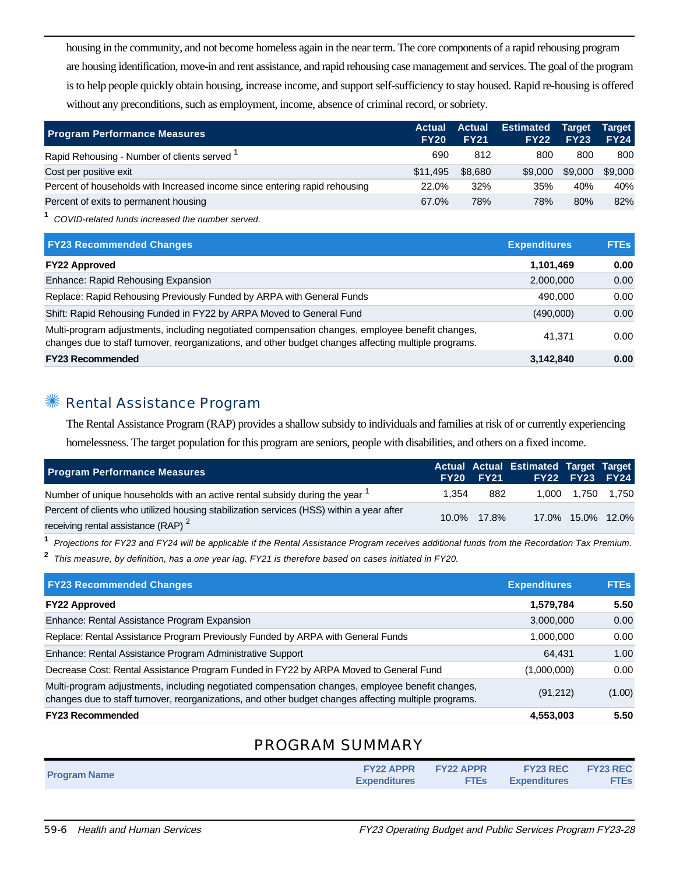housing in the community, and not become homeless again in the near term. The core components of a rapid rehousing program are housing identification, move-in and rent assistance, and rapid rehousing case management and services. The goal of the program is to help people quickly obtain housing, increase income, and support self-sufficiency to stay housed. Rapid re-housing is offered without any preconditions, such as employment, income, absence of criminal record, or sobriety.

| <b>Program Performance Measures</b>                                        | <b>Actual</b><br><b>FY20</b> | <b>Actual</b><br><b>FY21</b> | <b>Estimated</b><br><b>FY22</b> | Target <sup>1</sup><br><b>FY23</b> | <b>Target</b><br><b>FY24</b> |
|----------------------------------------------------------------------------|------------------------------|------------------------------|---------------------------------|------------------------------------|------------------------------|
| Rapid Rehousing - Number of clients served <sup>1</sup>                    | 690                          | 812                          | 800                             | 800                                | 800                          |
| Cost per positive exit                                                     | \$11,495                     | \$8,680                      | \$9,000                         | \$9,000                            | \$9,000                      |
| Percent of households with Increased income since entering rapid rehousing | 22.0%                        | 32%                          | 35%                             | 40%                                | 40%                          |
| Percent of exits to permanent housing                                      | 67.0%                        | 78%                          | 78%                             | 80%                                | 82%                          |

**1** COVID-related funds increased the number served.

| <b>FY23 Recommended Changes</b>                                                                                                                                                                          | <b>Expenditures</b> | <b>FTEs</b> |
|----------------------------------------------------------------------------------------------------------------------------------------------------------------------------------------------------------|---------------------|-------------|
| <b>FY22 Approved</b>                                                                                                                                                                                     | 1,101,469           | 0.00        |
| Enhance: Rapid Rehousing Expansion                                                                                                                                                                       | 2,000,000           | 0.00        |
| Replace: Rapid Rehousing Previously Funded by ARPA with General Funds                                                                                                                                    | 490.000             | 0.00        |
| Shift: Rapid Rehousing Funded in FY22 by ARPA Moved to General Fund                                                                                                                                      | (490,000)           | 0.00        |
| Multi-program adjustments, including negotiated compensation changes, employee benefit changes,<br>changes due to staff turnover, reorganizations, and other budget changes affecting multiple programs. | 41.371              | 0.00        |
| <b>FY23 Recommended</b>                                                                                                                                                                                  | 3,142,840           | 0.00        |

#### ✺ Rental Assistance Program

The Rental Assistance Program (RAP) provides a shallow subsidy to individuals and families at risk of or currently experiencing homelessness. The target population for this program are seniors, people with disabilities, and others on a fixed income.

| <b>Program Performance Measures</b>                                                                                                        |       | <b>FY20 FY21</b> | Actual Actual Estimated Target Target | <b>FY22 FY23 FY24</b> |       |
|--------------------------------------------------------------------------------------------------------------------------------------------|-------|------------------|---------------------------------------|-----------------------|-------|
| Number of unique households with an active rental subsidy during the year <sup>1</sup>                                                     | 1.354 | 882              |                                       | 1.000 1.750           | 1.750 |
| Percent of clients who utilized housing stabilization services (HSS) within a year after<br>receiving rental assistance (RAP) <sup>2</sup> |       | 10.0% 17.8%      |                                       | 17.0% 15.0% 12.0%     |       |

**1** Projections for FY23 and FY24 will be applicable if the Rental Assistance Program receives additional funds from the Recordation Tax Premium.

**2** This measure, by definition, has a one year lag. FY21 is therefore based on cases initiated in FY20.

| <b>FY23 Recommended Changes</b>                                                                                                                                                                          | <b>Expenditures</b> | <b>FTEs</b> |
|----------------------------------------------------------------------------------------------------------------------------------------------------------------------------------------------------------|---------------------|-------------|
| <b>FY22 Approved</b>                                                                                                                                                                                     | 1,579,784           | 5.50        |
| Enhance: Rental Assistance Program Expansion                                                                                                                                                             | 3,000,000           | 0.00        |
| Replace: Rental Assistance Program Previously Funded by ARPA with General Funds                                                                                                                          | 1,000,000           | 0.00        |
| Enhance: Rental Assistance Program Administrative Support                                                                                                                                                | 64.431              | 1.00        |
| Decrease Cost: Rental Assistance Program Funded in FY22 by ARPA Moved to General Fund                                                                                                                    | (1,000,000)         | 0.00        |
| Multi-program adjustments, including negotiated compensation changes, employee benefit changes,<br>changes due to staff turnover, reorganizations, and other budget changes affecting multiple programs. | (91,212)            | (1.00)      |
| <b>FY23 Recommended</b>                                                                                                                                                                                  | 4,553,003           | 5.50        |

### PROGRAM SUMMARY

| <b>Program Name</b> | <b>FY22 APPR</b><br><b>Expenditures</b> | <b>EY22 APPR</b><br><b>FTES</b> | <b>FY23 REC FY23 REC</b><br><b>Expenditures</b> | <b>FTEs</b> |
|---------------------|-----------------------------------------|---------------------------------|-------------------------------------------------|-------------|
|                     |                                         |                                 |                                                 |             |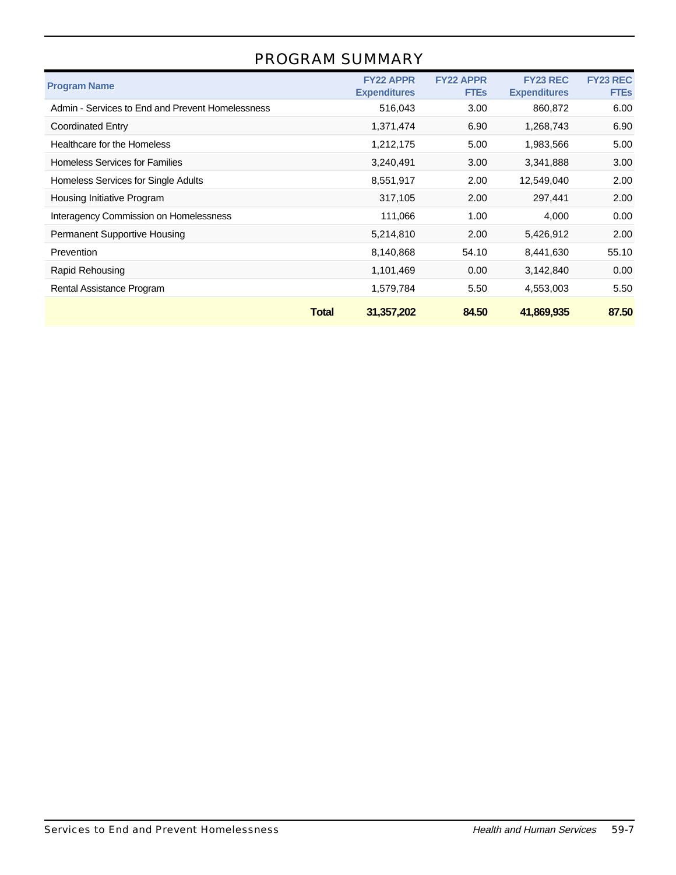# PROGRAM SUMMARY

| <b>Program Name</b>                              | <b>FY22 APPR</b><br><b>Expenditures</b> | <b>FY22 APPR</b><br><b>FTEs</b> | <b>FY23 REC</b><br><b>Expenditures</b> | <b>FY23 REC</b><br><b>FTEs</b> |
|--------------------------------------------------|-----------------------------------------|---------------------------------|----------------------------------------|--------------------------------|
| Admin - Services to End and Prevent Homelessness | 516,043                                 | 3.00 <sub>1</sub>               | 860,872                                | 6.00                           |
| Coordinated Entry                                | 1,371,474                               | 6.90                            | 1,268,743                              | 6.90                           |
| Healthcare for the Homeless                      | 1,212,175                               | 5.00                            | 1,983,566                              | 5.00                           |
| <b>Homeless Services for Families</b>            | 3,240,491                               | 3.00                            | 3,341,888                              | 3.00                           |
| Homeless Services for Single Adults              | 8,551,917                               | 2.00                            | 12,549,040                             | 2.00                           |
| Housing Initiative Program                       | 317,105                                 | 2.00                            | 297,441                                | 2.00                           |
| Interagency Commission on Homelessness           | 111,066                                 | 1.00                            | 4,000                                  | 0.00                           |
| <b>Permanent Supportive Housing</b>              | 5,214,810                               | 2.00                            | 5,426,912                              | 2.00                           |
| Prevention                                       | 8,140,868                               | 54.10                           | 8,441,630                              | 55.10                          |
| <b>Rapid Rehousing</b>                           | 1,101,469                               | 0.00                            | 3,142,840                              | 0.00                           |
| Rental Assistance Program                        | 1,579,784                               | 5.50                            | 4,553,003                              | 5.50                           |
|                                                  | <b>Total</b><br>31,357,202              | 84.50                           | 41,869,935                             | 87.50                          |